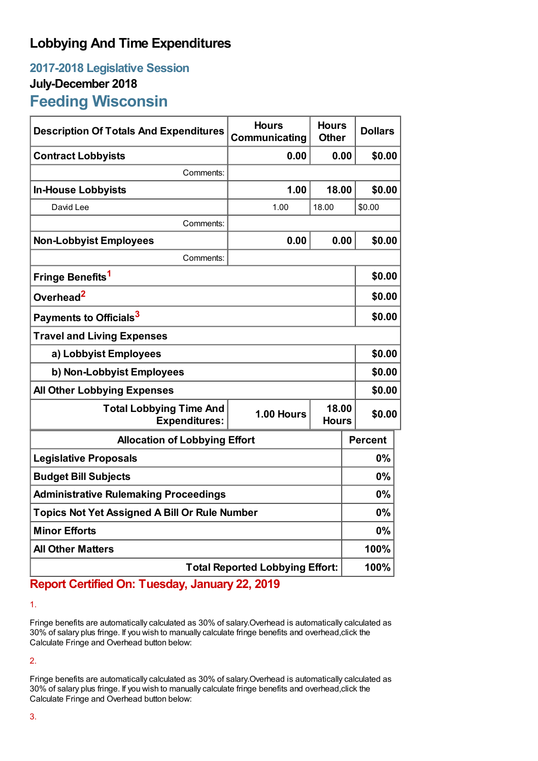## **Lobbying And Time Expenditures**

## **2017-2018 Legislative Session July-December 2018 Feeding Wisconsin**

| <b>Description Of Totals And Expenditures</b>          | <b>Hours</b><br>Communicating | <b>Hours</b><br><b>Other</b> | <b>Dollars</b> |  |
|--------------------------------------------------------|-------------------------------|------------------------------|----------------|--|
| <b>Contract Lobbyists</b>                              | 0.00                          | 0.00                         | \$0.00         |  |
| Comments:                                              |                               |                              |                |  |
| <b>In-House Lobbyists</b>                              | 1.00                          | 18.00                        | \$0.00         |  |
| David Lee                                              | 1.00                          | 18.00                        | \$0.00         |  |
| Comments:                                              |                               |                              |                |  |
| <b>Non-Lobbyist Employees</b>                          | 0.00                          | 0.00                         | \$0.00         |  |
| Comments:                                              |                               |                              |                |  |
| Fringe Benefits <sup>1</sup>                           |                               |                              | \$0.00         |  |
| Overhead <sup>2</sup>                                  |                               |                              | \$0.00         |  |
| Payments to Officials <sup>3</sup>                     |                               |                              | \$0.00         |  |
| <b>Travel and Living Expenses</b>                      |                               |                              |                |  |
| a) Lobbyist Employees                                  |                               |                              | \$0.00         |  |
| b) Non-Lobbyist Employees                              |                               |                              | \$0.00         |  |
| <b>All Other Lobbying Expenses</b>                     |                               |                              | \$0.00         |  |
| <b>Total Lobbying Time And</b><br><b>Expenditures:</b> | 1.00 Hours                    | 18.00<br><b>Hours</b>        | \$0.00         |  |
| <b>Allocation of Lobbying Effort</b>                   |                               |                              | <b>Percent</b> |  |
| <b>Legislative Proposals</b>                           |                               |                              | 0%             |  |
| <b>Budget Bill Subjects</b>                            |                               |                              | 0%             |  |
| <b>Administrative Rulemaking Proceedings</b>           |                               |                              | 0%             |  |
| <b>Topics Not Yet Assigned A Bill Or Rule Number</b>   |                               |                              | 0%             |  |
| <b>Minor Efforts</b>                                   |                               |                              | 0%             |  |
| <b>All Other Matters</b>                               |                               |                              | 100%           |  |
| <b>Total Reported Lobbying Effort:</b>                 |                               |                              | 100%           |  |

## **Report Certified On: Tuesday, January 22, 2019**

1.

Fringe benefits are automatically calculated as 30% of salary.Overhead is automatically calculated as 30% of salary plus fringe. If you wish to manually calculate fringe benefits and overhead,click the Calculate Fringe and Overhead button below:

2.

Fringe benefits are automatically calculated as 30% of salary.Overhead is automatically calculated as 30% of salary plus fringe. If you wish to manually calculate fringe benefits and overhead,click the Calculate Fringe and Overhead button below: